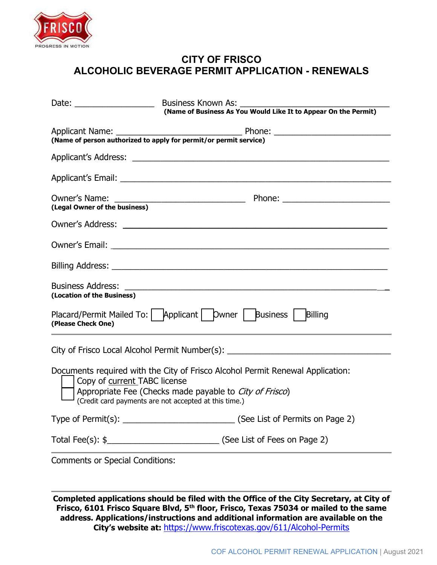

## CITY OF FRISCO ALCOHOLIC BEVERAGE PERMIT APPLICATION - RENEWALS

| Date: $\frac{1}{\sqrt{1-\frac{1}{2}}}\frac{1}{\sqrt{1-\frac{1}{2}}}\frac{1}{\sqrt{1-\frac{1}{2}}}\frac{1}{\sqrt{1-\frac{1}{2}}}\frac{1}{\sqrt{1-\frac{1}{2}}}\frac{1}{\sqrt{1-\frac{1}{2}}}\frac{1}{\sqrt{1-\frac{1}{2}}}\frac{1}{\sqrt{1-\frac{1}{2}}}\frac{1}{\sqrt{1-\frac{1}{2}}}\frac{1}{\sqrt{1-\frac{1}{2}}}\frac{1}{\sqrt{1-\frac{1}{2}}}\frac{1}{\sqrt{1-\frac{1}{2}}}\frac{1}{\sqrt{1-\frac{1}{2}}}\frac{1}{\$ | Business Known As:                                                                                                                                                                                                             |
|--------------------------------------------------------------------------------------------------------------------------------------------------------------------------------------------------------------------------------------------------------------------------------------------------------------------------------------------------------------------------------------------------------------------------|--------------------------------------------------------------------------------------------------------------------------------------------------------------------------------------------------------------------------------|
|                                                                                                                                                                                                                                                                                                                                                                                                                          | (Name of Business As You Would Like It to Appear On the Permit)                                                                                                                                                                |
| Applicant Name: _________                                                                                                                                                                                                                                                                                                                                                                                                | (Name of person authorized to apply for permit/or permit service)                                                                                                                                                              |
|                                                                                                                                                                                                                                                                                                                                                                                                                          | Applicant's Address: experience and a series of the series of the series of the series of the series of the series of the series of the series of the series of the series of the series of the series of the series of the se |
|                                                                                                                                                                                                                                                                                                                                                                                                                          |                                                                                                                                                                                                                                |
| (Legal Owner of the business)                                                                                                                                                                                                                                                                                                                                                                                            |                                                                                                                                                                                                                                |
|                                                                                                                                                                                                                                                                                                                                                                                                                          |                                                                                                                                                                                                                                |
|                                                                                                                                                                                                                                                                                                                                                                                                                          |                                                                                                                                                                                                                                |
|                                                                                                                                                                                                                                                                                                                                                                                                                          |                                                                                                                                                                                                                                |
| <b>Business Address:</b><br>(Location of the Business)                                                                                                                                                                                                                                                                                                                                                                   |                                                                                                                                                                                                                                |
| (Please Check One)                                                                                                                                                                                                                                                                                                                                                                                                       | Placard/Permit Mailed To:   Applicant   Dwner   Business   Billing                                                                                                                                                             |
|                                                                                                                                                                                                                                                                                                                                                                                                                          | City of Frisco Local Alcohol Permit Number(s): _________________________________                                                                                                                                               |
| Copy of current TABC license                                                                                                                                                                                                                                                                                                                                                                                             | Documents required with the City of Frisco Alcohol Permit Renewal Application:<br>Appropriate Fee (Checks made payable to City of Frisco)<br>(Credit card payments are not accepted at this time.)                             |
|                                                                                                                                                                                                                                                                                                                                                                                                                          | Type of Permit(s): _________________________________(See List of Permits on Page 2)                                                                                                                                            |
|                                                                                                                                                                                                                                                                                                                                                                                                                          | Total Fee(s): \$__________________________________(See List of Fees on Page 2)                                                                                                                                                 |
| <b>Comments or Special Conditions:</b>                                                                                                                                                                                                                                                                                                                                                                                   |                                                                                                                                                                                                                                |

Completed applications should be filed with the Office of the City Secretary, at City of Frisco, 6101 Frisco Square Blvd, 5<sup>th</sup> floor, Frisco, Texas 75034 or mailed to the same address. Applications/instructions and additional information are available on the City's website at: https://www.friscotexas.gov/611/Alcohol-Permits